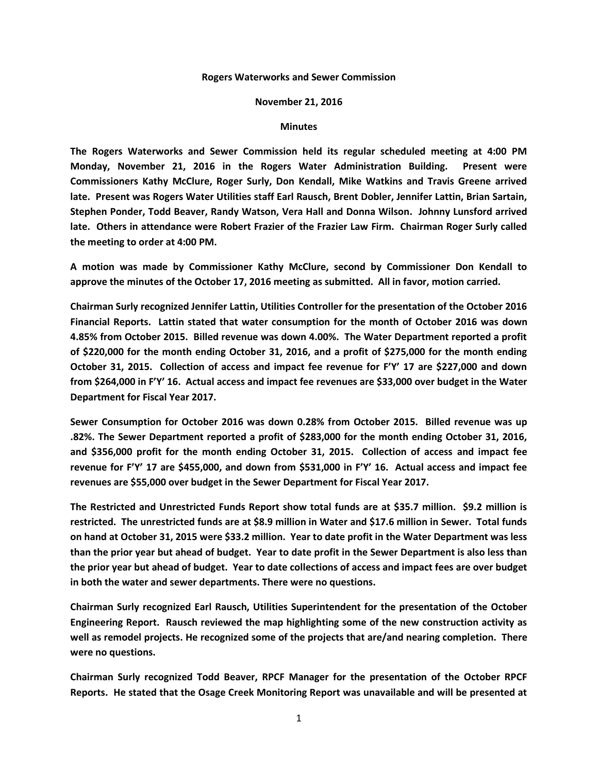## **Rogers Waterworks and Sewer Commission**

## **November 21, 2016**

## **Minutes**

**The Rogers Waterworks and Sewer Commission held its regular scheduled meeting at 4:00 PM Monday, November 21, 2016 in the Rogers Water Administration Building. Present were Commissioners Kathy McClure, Roger Surly, Don Kendall, Mike Watkins and Travis Greene arrived late. Present was Rogers Water Utilities staff Earl Rausch, Brent Dobler, Jennifer Lattin, Brian Sartain, Stephen Ponder, Todd Beaver, Randy Watson, Vera Hall and Donna Wilson. Johnny Lunsford arrived late. Others in attendance were Robert Frazier of the Frazier Law Firm. Chairman Roger Surly called the meeting to order at 4:00 PM.**

**A motion was made by Commissioner Kathy McClure, second by Commissioner Don Kendall to approve the minutes of the October 17, 2016 meeting as submitted. All in favor, motion carried.**

**Chairman Surly recognized Jennifer Lattin, Utilities Controller for the presentation of the October 2016 Financial Reports. Lattin stated that water consumption for the month of October 2016 was down 4.85% from October 2015. Billed revenue was down 4.00%. The Water Department reported a profit of \$220,000 for the month ending October 31, 2016, and a profit of \$275,000 for the month ending October 31, 2015. Collection of access and impact fee revenue for F'Y' 17 are \$227,000 and down from \$264,000 in F'Y' 16. Actual access and impact fee revenues are \$33,000 over budget in the Water Department for Fiscal Year 2017.**

**Sewer Consumption for October 2016 was down 0.28% from October 2015. Billed revenue was up .82%. The Sewer Department reported a profit of \$283,000 for the month ending October 31, 2016, and \$356,000 profit for the month ending October 31, 2015. Collection of access and impact fee revenue for F'Y' 17 are \$455,000, and down from \$531,000 in F'Y' 16. Actual access and impact fee revenues are \$55,000 over budget in the Sewer Department for Fiscal Year 2017.**

**The Restricted and Unrestricted Funds Report show total funds are at \$35.7 million. \$9.2 million is restricted. The unrestricted funds are at \$8.9 million in Water and \$17.6 million in Sewer. Total funds on hand at October 31, 2015 were \$33.2 million. Year to date profit in the Water Department was less than the prior year but ahead of budget. Year to date profit in the Sewer Department is also less than the prior year but ahead of budget. Year to date collections of access and impact fees are over budget in both the water and sewer departments. There were no questions.**

**Chairman Surly recognized Earl Rausch, Utilities Superintendent for the presentation of the October Engineering Report. Rausch reviewed the map highlighting some of the new construction activity as well as remodel projects. He recognized some of the projects that are/and nearing completion. There were no questions.**

**Chairman Surly recognized Todd Beaver, RPCF Manager for the presentation of the October RPCF Reports. He stated that the Osage Creek Monitoring Report was unavailable and will be presented at**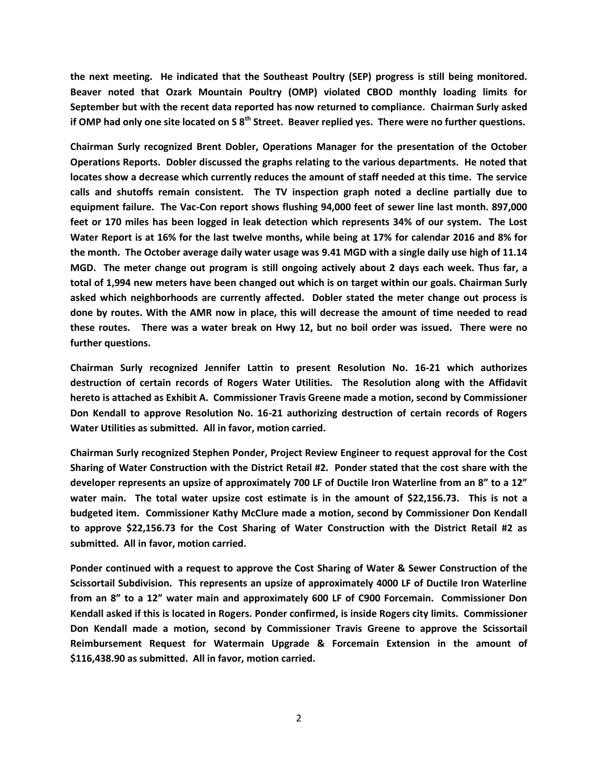**the next meeting. He indicated that the Southeast Poultry (SEP) progress is still being monitored. Beaver noted that Ozark Mountain Poultry (OMP) violated CBOD monthly loading limits for September but with the recent data reported has now returned to compliance. Chairman Surly asked if OMP had only one site located on S 8th Street. Beaver replied yes. There were no further questions.**

**Chairman Surly recognized Brent Dobler, Operations Manager for the presentation of the October Operations Reports. Dobler discussed the graphs relating to the various departments. He noted that locates show a decrease which currently reduces the amount of staff needed at this time. The service calls and shutoffs remain consistent. The TV inspection graph noted a decline partially due to equipment failure. The Vac-Con report shows flushing 94,000 feet of sewer line last month. 897,000 feet or 170 miles has been logged in leak detection which represents 34% of our system. The Lost Water Report is at 16% for the last twelve months, while being at 17% for calendar 2016 and 8% for the month. The October average daily water usage was 9.41 MGD with a single daily use high of 11.14 MGD. The meter change out program is still ongoing actively about 2 days each week. Thus far, a total of 1,994 new meters have been changed out which is on target within our goals. Chairman Surly asked which neighborhoods are currently affected. Dobler stated the meter change out process is done by routes. With the AMR now in place, this will decrease the amount of time needed to read these routes. There was a water break on Hwy 12, but no boil order was issued. There were no further questions.**

**Chairman Surly recognized Jennifer Lattin to present Resolution No. 16-21 which authorizes destruction of certain records of Rogers Water Utilities. The Resolution along with the Affidavit hereto is attached as Exhibit A. Commissioner Travis Greene made a motion, second by Commissioner Don Kendall to approve Resolution No. 16-21 authorizing destruction of certain records of Rogers Water Utilities as submitted. All in favor, motion carried.**

**Chairman Surly recognized Stephen Ponder, Project Review Engineer to request approval for the Cost Sharing of Water Construction with the District Retail #2. Ponder stated that the cost share with the developer represents an upsize of approximately 700 LF of Ductile Iron Waterline from an 8" to a 12" water main. The total water upsize cost estimate is in the amount of \$22,156.73. This is not a budgeted item. Commissioner Kathy McClure made a motion, second by Commissioner Don Kendall to approve \$22,156.73 for the Cost Sharing of Water Construction with the District Retail #2 as submitted. All in favor, motion carried.**

**Ponder continued with a request to approve the Cost Sharing of Water & Sewer Construction of the Scissortail Subdivision. This represents an upsize of approximately 4000 LF of Ductile Iron Waterline from an 8" to a 12" water main and approximately 600 LF of C900 Forcemain. Commissioner Don Kendall asked if this is located in Rogers. Ponder confirmed, is inside Rogers city limits. Commissioner Don Kendall made a motion, second by Commissioner Travis Greene to approve the Scissortail Reimbursement Request for Watermain Upgrade & Forcemain Extension in the amount of \$116,438.90 as submitted. All in favor, motion carried.**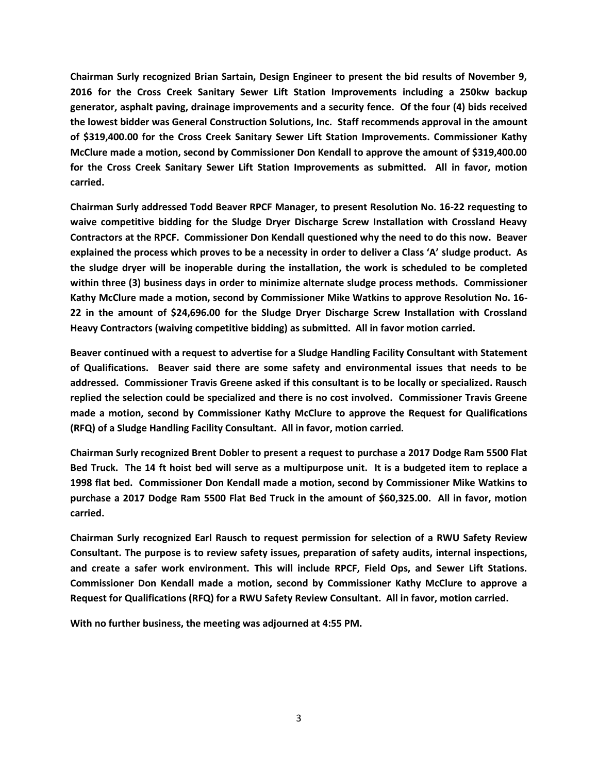**Chairman Surly recognized Brian Sartain, Design Engineer to present the bid results of November 9, 2016 for the Cross Creek Sanitary Sewer Lift Station Improvements including a 250kw backup generator, asphalt paving, drainage improvements and a security fence. Of the four (4) bids received the lowest bidder was General Construction Solutions, Inc. Staff recommends approval in the amount of \$319,400.00 for the Cross Creek Sanitary Sewer Lift Station Improvements. Commissioner Kathy McClure made a motion, second by Commissioner Don Kendall to approve the amount of \$319,400.00 for the Cross Creek Sanitary Sewer Lift Station Improvements as submitted. All in favor, motion carried.**

**Chairman Surly addressed Todd Beaver RPCF Manager, to present Resolution No. 16-22 requesting to waive competitive bidding for the Sludge Dryer Discharge Screw Installation with Crossland Heavy Contractors at the RPCF. Commissioner Don Kendall questioned why the need to do this now. Beaver explained the process which proves to be a necessity in order to deliver a Class 'A' sludge product. As the sludge dryer will be inoperable during the installation, the work is scheduled to be completed within three (3) business days in order to minimize alternate sludge process methods. Commissioner Kathy McClure made a motion, second by Commissioner Mike Watkins to approve Resolution No. 16- 22 in the amount of \$24,696.00 for the Sludge Dryer Discharge Screw Installation with Crossland Heavy Contractors (waiving competitive bidding) as submitted. All in favor motion carried.** 

**Beaver continued with a request to advertise for a Sludge Handling Facility Consultant with Statement of Qualifications. Beaver said there are some safety and environmental issues that needs to be addressed. Commissioner Travis Greene asked if this consultant is to be locally or specialized. Rausch replied the selection could be specialized and there is no cost involved. Commissioner Travis Greene made a motion, second by Commissioner Kathy McClure to approve the Request for Qualifications (RFQ) of a Sludge Handling Facility Consultant. All in favor, motion carried.**

**Chairman Surly recognized Brent Dobler to present a request to purchase a 2017 Dodge Ram 5500 Flat Bed Truck. The 14 ft hoist bed will serve as a multipurpose unit. It is a budgeted item to replace a 1998 flat bed. Commissioner Don Kendall made a motion, second by Commissioner Mike Watkins to purchase a 2017 Dodge Ram 5500 Flat Bed Truck in the amount of \$60,325.00. All in favor, motion carried.**

**Chairman Surly recognized Earl Rausch to request permission for selection of a RWU Safety Review Consultant. The purpose is to review safety issues, preparation of safety audits, internal inspections, and create a safer work environment. This will include RPCF, Field Ops, and Sewer Lift Stations. Commissioner Don Kendall made a motion, second by Commissioner Kathy McClure to approve a Request for Qualifications (RFQ) for a RWU Safety Review Consultant. All in favor, motion carried.**

**With no further business, the meeting was adjourned at 4:55 PM.**